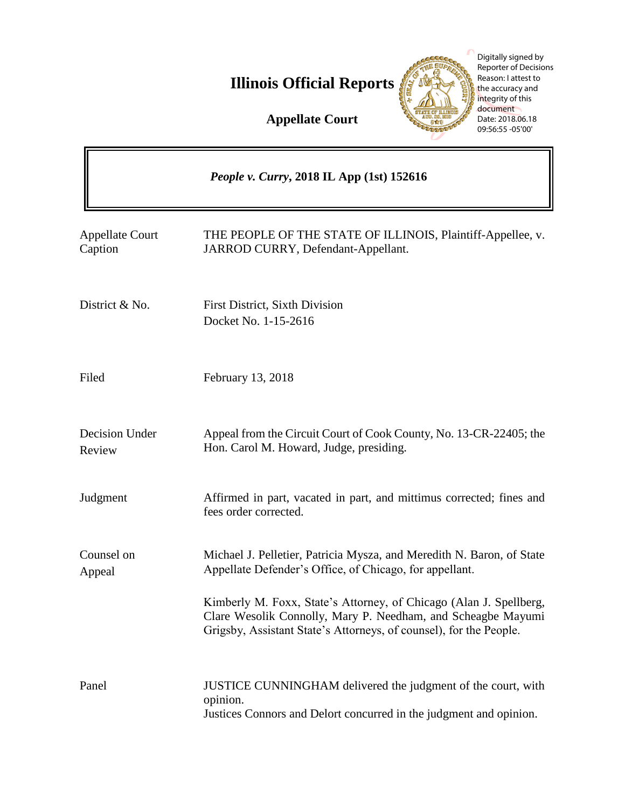**Illinois Official Reports** 



Digitally signed by Reporter of Decisions Reason: I attest to the accuracy and integrity of this document Date: 2018.06.18 09:56:55 -05'00'

**Appellate Court**

|                                   | People v. Curry, 2018 IL App (1st) 152616                                                                                                                                                                |
|-----------------------------------|----------------------------------------------------------------------------------------------------------------------------------------------------------------------------------------------------------|
| <b>Appellate Court</b><br>Caption | THE PEOPLE OF THE STATE OF ILLINOIS, Plaintiff-Appellee, v.<br>JARROD CURRY, Defendant-Appellant.                                                                                                        |
| District & No.                    | <b>First District, Sixth Division</b><br>Docket No. 1-15-2616                                                                                                                                            |
| Filed                             | February 13, 2018                                                                                                                                                                                        |
| Decision Under<br>Review          | Appeal from the Circuit Court of Cook County, No. 13-CR-22405; the<br>Hon. Carol M. Howard, Judge, presiding.                                                                                            |
| Judgment                          | Affirmed in part, vacated in part, and mittimus corrected; fines and<br>fees order corrected.                                                                                                            |
| Counsel on<br>Appeal              | Michael J. Pelletier, Patricia Mysza, and Meredith N. Baron, of State<br>Appellate Defender's Office, of Chicago, for appellant.                                                                         |
|                                   | Kimberly M. Foxx, State's Attorney, of Chicago (Alan J. Spellberg,<br>Clare Wesolik Connolly, Mary P. Needham, and Scheagbe Mayumi<br>Grigsby, Assistant State's Attorneys, of counsel), for the People. |
| Panel                             | JUSTICE CUNNINGHAM delivered the judgment of the court, with<br>opinion.<br>Justices Connors and Delort concurred in the judgment and opinion.                                                           |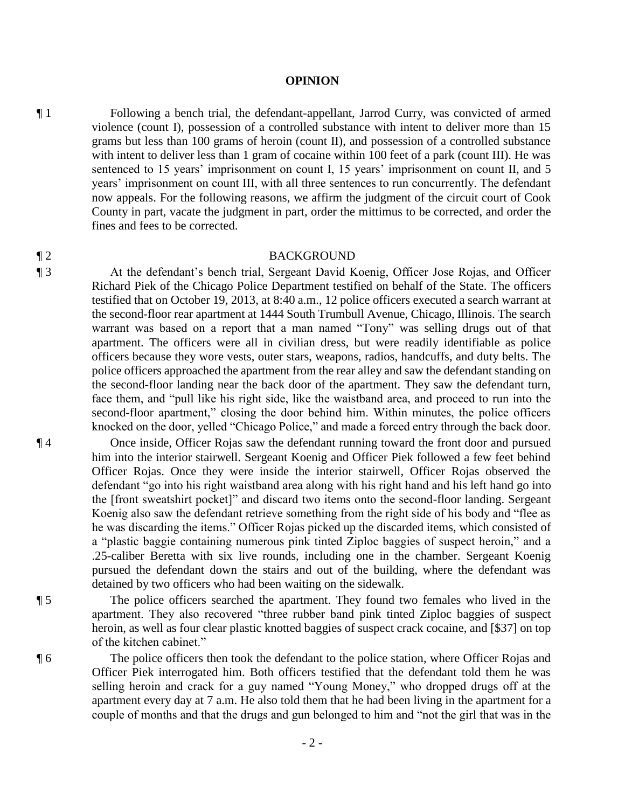## **OPINION**

¶ 1 Following a bench trial, the defendant-appellant, Jarrod Curry, was convicted of armed violence (count I), possession of a controlled substance with intent to deliver more than 15 grams but less than 100 grams of heroin (count II), and possession of a controlled substance with intent to deliver less than 1 gram of cocaine within 100 feet of a park (count III). He was sentenced to 15 years' imprisonment on count I, 15 years' imprisonment on count II, and 5 years' imprisonment on count III, with all three sentences to run concurrently. The defendant now appeals. For the following reasons, we affirm the judgment of the circuit court of Cook County in part, vacate the judgment in part, order the mittimus to be corrected, and order the fines and fees to be corrected.

## ¶ 2 BACKGROUND

¶ 3 At the defendant's bench trial, Sergeant David Koenig, Officer Jose Rojas, and Officer Richard Piek of the Chicago Police Department testified on behalf of the State. The officers testified that on October 19, 2013, at 8:40 a.m., 12 police officers executed a search warrant at the second-floor rear apartment at 1444 South Trumbull Avenue, Chicago, Illinois. The search warrant was based on a report that a man named "Tony" was selling drugs out of that apartment. The officers were all in civilian dress, but were readily identifiable as police officers because they wore vests, outer stars, weapons, radios, handcuffs, and duty belts. The police officers approached the apartment from the rear alley and saw the defendant standing on the second-floor landing near the back door of the apartment. They saw the defendant turn, face them, and "pull like his right side, like the waistband area, and proceed to run into the second-floor apartment," closing the door behind him. Within minutes, the police officers knocked on the door, yelled "Chicago Police," and made a forced entry through the back door.

¶ 4 Once inside, Officer Rojas saw the defendant running toward the front door and pursued him into the interior stairwell. Sergeant Koenig and Officer Piek followed a few feet behind Officer Rojas. Once they were inside the interior stairwell, Officer Rojas observed the defendant "go into his right waistband area along with his right hand and his left hand go into the [front sweatshirt pocket]" and discard two items onto the second-floor landing. Sergeant Koenig also saw the defendant retrieve something from the right side of his body and "flee as he was discarding the items." Officer Rojas picked up the discarded items, which consisted of a "plastic baggie containing numerous pink tinted Ziploc baggies of suspect heroin," and a .25-caliber Beretta with six live rounds, including one in the chamber. Sergeant Koenig pursued the defendant down the stairs and out of the building, where the defendant was detained by two officers who had been waiting on the sidewalk.

¶ 5 The police officers searched the apartment. They found two females who lived in the apartment. They also recovered "three rubber band pink tinted Ziploc baggies of suspect heroin, as well as four clear plastic knotted baggies of suspect crack cocaine, and [\$37] on top of the kitchen cabinet."

¶ 6 The police officers then took the defendant to the police station, where Officer Rojas and Officer Piek interrogated him. Both officers testified that the defendant told them he was selling heroin and crack for a guy named "Young Money," who dropped drugs off at the apartment every day at 7 a.m. He also told them that he had been living in the apartment for a couple of months and that the drugs and gun belonged to him and "not the girl that was in the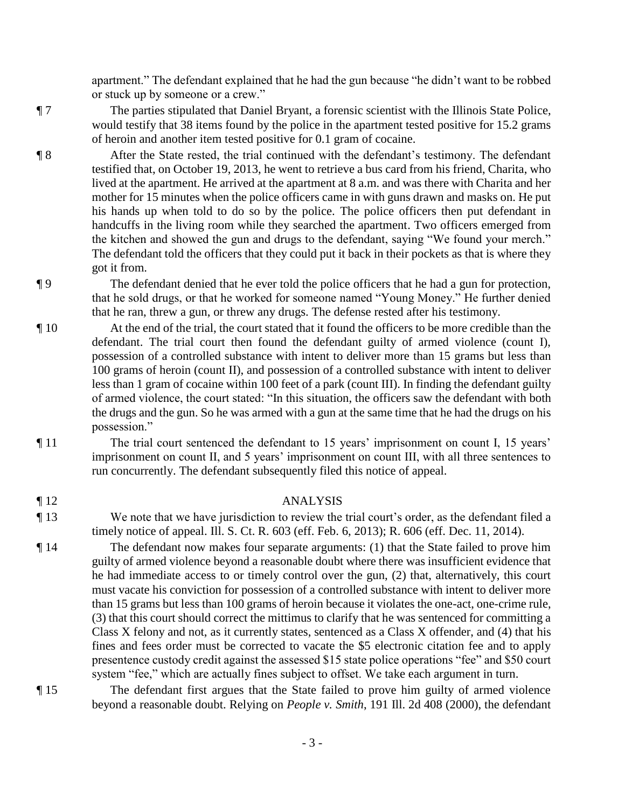apartment." The defendant explained that he had the gun because "he didn't want to be robbed or stuck up by someone or a crew."

¶ 7 The parties stipulated that Daniel Bryant, a forensic scientist with the Illinois State Police, would testify that 38 items found by the police in the apartment tested positive for 15.2 grams of heroin and another item tested positive for 0.1 gram of cocaine.

¶ 8 After the State rested, the trial continued with the defendant's testimony. The defendant testified that, on October 19, 2013, he went to retrieve a bus card from his friend, Charita, who lived at the apartment. He arrived at the apartment at 8 a.m. and was there with Charita and her mother for 15 minutes when the police officers came in with guns drawn and masks on. He put his hands up when told to do so by the police. The police officers then put defendant in handcuffs in the living room while they searched the apartment. Two officers emerged from the kitchen and showed the gun and drugs to the defendant, saying "We found your merch." The defendant told the officers that they could put it back in their pockets as that is where they got it from.

¶ 9 The defendant denied that he ever told the police officers that he had a gun for protection, that he sold drugs, or that he worked for someone named "Young Money." He further denied that he ran, threw a gun, or threw any drugs. The defense rested after his testimony.

- ¶ 10 At the end of the trial, the court stated that it found the officers to be more credible than the defendant. The trial court then found the defendant guilty of armed violence (count I), possession of a controlled substance with intent to deliver more than 15 grams but less than 100 grams of heroin (count II), and possession of a controlled substance with intent to deliver less than 1 gram of cocaine within 100 feet of a park (count III). In finding the defendant guilty of armed violence, the court stated: "In this situation, the officers saw the defendant with both the drugs and the gun. So he was armed with a gun at the same time that he had the drugs on his possession."
- ¶ 11 The trial court sentenced the defendant to 15 years' imprisonment on count I, 15 years' imprisonment on count II, and 5 years' imprisonment on count III, with all three sentences to run concurrently. The defendant subsequently filed this notice of appeal.
- 

¶ 12 ANALYSIS

- ¶ 13 We note that we have jurisdiction to review the trial court's order, as the defendant filed a timely notice of appeal. Ill. S. Ct. R. 603 (eff. Feb. 6, 2013); R. 606 (eff. Dec. 11, 2014).
- ¶ 14 The defendant now makes four separate arguments: (1) that the State failed to prove him guilty of armed violence beyond a reasonable doubt where there was insufficient evidence that he had immediate access to or timely control over the gun, (2) that, alternatively, this court must vacate his conviction for possession of a controlled substance with intent to deliver more than 15 grams but less than 100 grams of heroin because it violates the one-act, one-crime rule, (3) that this court should correct the mittimus to clarify that he was sentenced for committing a Class X felony and not, as it currently states, sentenced as a Class X offender, and (4) that his fines and fees order must be corrected to vacate the \$5 electronic citation fee and to apply presentence custody credit against the assessed \$15 state police operations "fee" and \$50 court system "fee," which are actually fines subject to offset. We take each argument in turn.

¶ 15 The defendant first argues that the State failed to prove him guilty of armed violence beyond a reasonable doubt. Relying on *People v. Smith*, 191 Ill. 2d 408 (2000), the defendant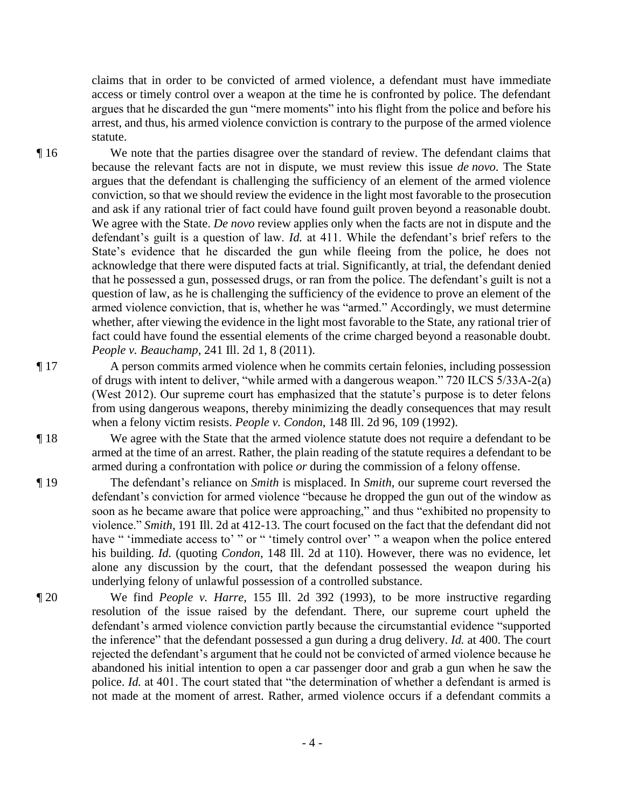claims that in order to be convicted of armed violence, a defendant must have immediate access or timely control over a weapon at the time he is confronted by police. The defendant argues that he discarded the gun "mere moments" into his flight from the police and before his arrest, and thus, his armed violence conviction is contrary to the purpose of the armed violence statute.

¶ 16 We note that the parties disagree over the standard of review. The defendant claims that because the relevant facts are not in dispute, we must review this issue *de novo*. The State argues that the defendant is challenging the sufficiency of an element of the armed violence conviction, so that we should review the evidence in the light most favorable to the prosecution and ask if any rational trier of fact could have found guilt proven beyond a reasonable doubt. We agree with the State. *De novo* review applies only when the facts are not in dispute and the defendant's guilt is a question of law. *Id.* at 411. While the defendant's brief refers to the State's evidence that he discarded the gun while fleeing from the police, he does not acknowledge that there were disputed facts at trial. Significantly, at trial, the defendant denied that he possessed a gun, possessed drugs, or ran from the police. The defendant's guilt is not a question of law, as he is challenging the sufficiency of the evidence to prove an element of the armed violence conviction, that is, whether he was "armed." Accordingly, we must determine whether, after viewing the evidence in the light most favorable to the State, any rational trier of fact could have found the essential elements of the crime charged beyond a reasonable doubt. *People v. Beauchamp*, 241 Ill. 2d 1, 8 (2011).

¶ 17 A person commits armed violence when he commits certain felonies, including possession of drugs with intent to deliver, "while armed with a dangerous weapon." 720 ILCS 5/33A-2(a) (West 2012). Our supreme court has emphasized that the statute's purpose is to deter felons from using dangerous weapons, thereby minimizing the deadly consequences that may result when a felony victim resists. *People v. Condon*, 148 Ill. 2d 96, 109 (1992).

¶ 18 We agree with the State that the armed violence statute does not require a defendant to be armed at the time of an arrest. Rather, the plain reading of the statute requires a defendant to be armed during a confrontation with police *or* during the commission of a felony offense.

¶ 19 The defendant's reliance on *Smith* is misplaced. In *Smith*, our supreme court reversed the defendant's conviction for armed violence "because he dropped the gun out of the window as soon as he became aware that police were approaching," and thus "exhibited no propensity to violence." *Smith*, 191 Ill. 2d at 412-13. The court focused on the fact that the defendant did not have " 'immediate access to' " or " 'timely control over' " a weapon when the police entered his building. *Id.* (quoting *Condon*, 148 Ill. 2d at 110). However, there was no evidence, let alone any discussion by the court, that the defendant possessed the weapon during his underlying felony of unlawful possession of a controlled substance.

¶ 20 We find *People v. Harre*, 155 Ill. 2d 392 (1993), to be more instructive regarding resolution of the issue raised by the defendant. There, our supreme court upheld the defendant's armed violence conviction partly because the circumstantial evidence "supported the inference" that the defendant possessed a gun during a drug delivery. *Id.* at 400. The court rejected the defendant's argument that he could not be convicted of armed violence because he abandoned his initial intention to open a car passenger door and grab a gun when he saw the police. *Id.* at 401. The court stated that "the determination of whether a defendant is armed is not made at the moment of arrest. Rather, armed violence occurs if a defendant commits a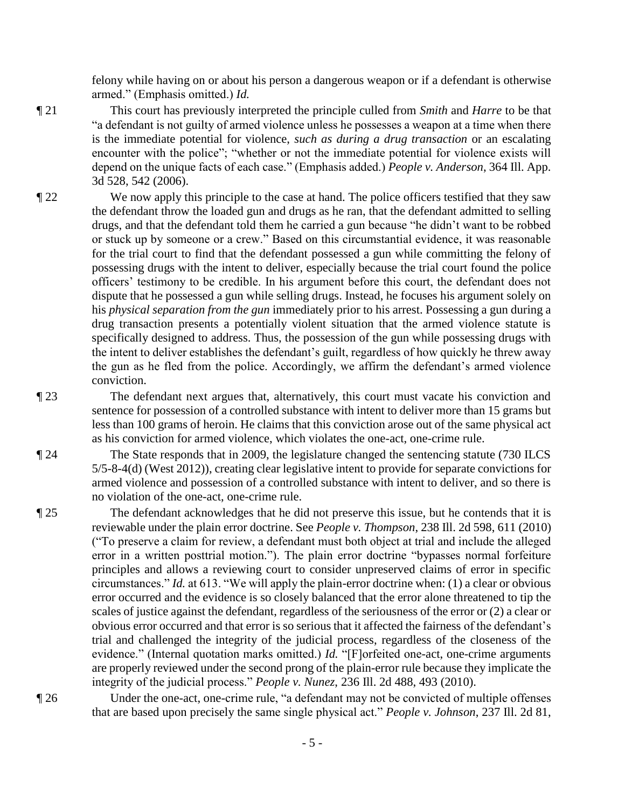felony while having on or about his person a dangerous weapon or if a defendant is otherwise armed." (Emphasis omitted.) *Id.*

¶ 21 This court has previously interpreted the principle culled from *Smith* and *Harre* to be that "a defendant is not guilty of armed violence unless he possesses a weapon at a time when there is the immediate potential for violence, *such as during a drug transaction* or an escalating encounter with the police"; "whether or not the immediate potential for violence exists will depend on the unique facts of each case." (Emphasis added.) *People v. Anderson*, 364 Ill. App. 3d 528, 542 (2006).

¶ 22 We now apply this principle to the case at hand. The police officers testified that they saw the defendant throw the loaded gun and drugs as he ran, that the defendant admitted to selling drugs, and that the defendant told them he carried a gun because "he didn't want to be robbed or stuck up by someone or a crew." Based on this circumstantial evidence, it was reasonable for the trial court to find that the defendant possessed a gun while committing the felony of possessing drugs with the intent to deliver, especially because the trial court found the police officers' testimony to be credible. In his argument before this court, the defendant does not dispute that he possessed a gun while selling drugs. Instead, he focuses his argument solely on his *physical separation from the gun* immediately prior to his arrest. Possessing a gun during a drug transaction presents a potentially violent situation that the armed violence statute is specifically designed to address. Thus, the possession of the gun while possessing drugs with the intent to deliver establishes the defendant's guilt, regardless of how quickly he threw away the gun as he fled from the police. Accordingly, we affirm the defendant's armed violence conviction.

¶ 23 The defendant next argues that, alternatively, this court must vacate his conviction and sentence for possession of a controlled substance with intent to deliver more than 15 grams but less than 100 grams of heroin. He claims that this conviction arose out of the same physical act as his conviction for armed violence, which violates the one-act, one-crime rule.

¶ 24 The State responds that in 2009, the legislature changed the sentencing statute (730 ILCS 5/5-8-4(d) (West 2012)), creating clear legislative intent to provide for separate convictions for armed violence and possession of a controlled substance with intent to deliver, and so there is no violation of the one-act, one-crime rule.

¶ 25 The defendant acknowledges that he did not preserve this issue, but he contends that it is reviewable under the plain error doctrine. See *People v. Thompson*, 238 Ill. 2d 598, 611 (2010) ("To preserve a claim for review, a defendant must both object at trial and include the alleged error in a written posttrial motion."). The plain error doctrine "bypasses normal forfeiture principles and allows a reviewing court to consider unpreserved claims of error in specific circumstances." *Id.* at 613. "We will apply the plain-error doctrine when: (1) a clear or obvious error occurred and the evidence is so closely balanced that the error alone threatened to tip the scales of justice against the defendant, regardless of the seriousness of the error or (2) a clear or obvious error occurred and that error is so serious that it affected the fairness of the defendant's trial and challenged the integrity of the judicial process, regardless of the closeness of the evidence." (Internal quotation marks omitted.) *Id.* "[F]orfeited one-act, one-crime arguments are properly reviewed under the second prong of the plain-error rule because they implicate the integrity of the judicial process." *People v. Nunez*, 236 Ill. 2d 488, 493 (2010).

¶ 26 Under the one-act, one-crime rule, "a defendant may not be convicted of multiple offenses that are based upon precisely the same single physical act." *People v. Johnson*, 237 Ill. 2d 81,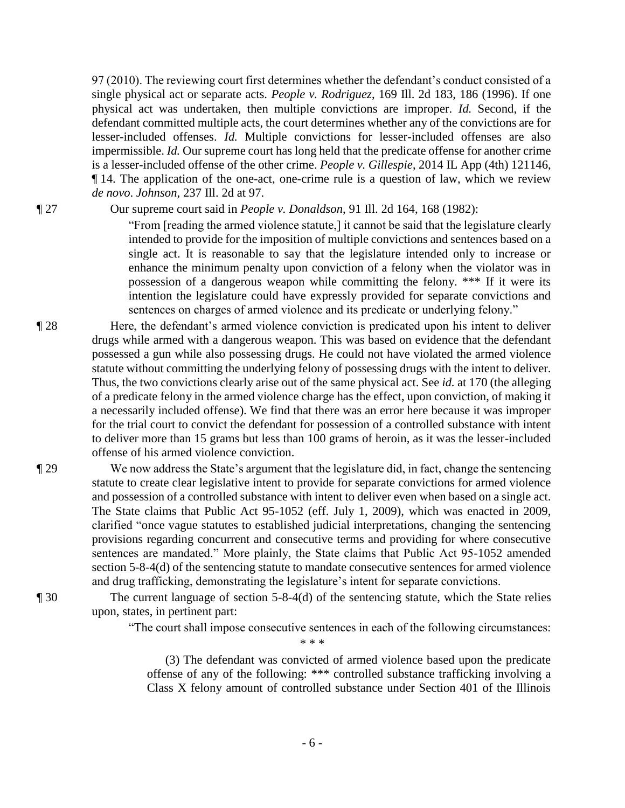97 (2010). The reviewing court first determines whether the defendant's conduct consisted of a single physical act or separate acts. *People v. Rodriguez*, 169 Ill. 2d 183, 186 (1996). If one physical act was undertaken, then multiple convictions are improper. *Id.* Second, if the defendant committed multiple acts, the court determines whether any of the convictions are for lesser-included offenses. *Id.* Multiple convictions for lesser-included offenses are also impermissible. *Id.* Our supreme court has long held that the predicate offense for another crime is a lesser-included offense of the other crime. *People v. Gillespie*, 2014 IL App (4th) 121146, ¶ 14. The application of the one-act, one-crime rule is a question of law, which we review *de novo*. *Johnson*, 237 Ill. 2d at 97.

¶ 27 Our supreme court said in *People v. Donaldson*, 91 Ill. 2d 164, 168 (1982):

"From [reading the armed violence statute,] it cannot be said that the legislature clearly intended to provide for the imposition of multiple convictions and sentences based on a single act. It is reasonable to say that the legislature intended only to increase or enhance the minimum penalty upon conviction of a felony when the violator was in possession of a dangerous weapon while committing the felony. \*\*\* If it were its intention the legislature could have expressly provided for separate convictions and sentences on charges of armed violence and its predicate or underlying felony."

- ¶ 28 Here, the defendant's armed violence conviction is predicated upon his intent to deliver drugs while armed with a dangerous weapon. This was based on evidence that the defendant possessed a gun while also possessing drugs. He could not have violated the armed violence statute without committing the underlying felony of possessing drugs with the intent to deliver. Thus, the two convictions clearly arise out of the same physical act. See *id.* at 170 (the alleging of a predicate felony in the armed violence charge has the effect, upon conviction, of making it a necessarily included offense). We find that there was an error here because it was improper for the trial court to convict the defendant for possession of a controlled substance with intent to deliver more than 15 grams but less than 100 grams of heroin, as it was the lesser-included offense of his armed violence conviction.
- ¶ 29 We now address the State's argument that the legislature did, in fact, change the sentencing statute to create clear legislative intent to provide for separate convictions for armed violence and possession of a controlled substance with intent to deliver even when based on a single act. The State claims that Public Act 95-1052 (eff. July 1, 2009), which was enacted in 2009, clarified "once vague statutes to established judicial interpretations, changing the sentencing provisions regarding concurrent and consecutive terms and providing for where consecutive sentences are mandated." More plainly, the State claims that Public Act 95-1052 amended section 5-8-4(d) of the sentencing statute to mandate consecutive sentences for armed violence and drug trafficking, demonstrating the legislature's intent for separate convictions.
- ¶ 30 The current language of section 5-8-4(d) of the sentencing statute, which the State relies upon, states, in pertinent part:
	- "The court shall impose consecutive sentences in each of the following circumstances:

 $* * *$ 

 (3) The defendant was convicted of armed violence based upon the predicate offense of any of the following: \*\*\* controlled substance trafficking involving a Class X felony amount of controlled substance under Section 401 of the Illinois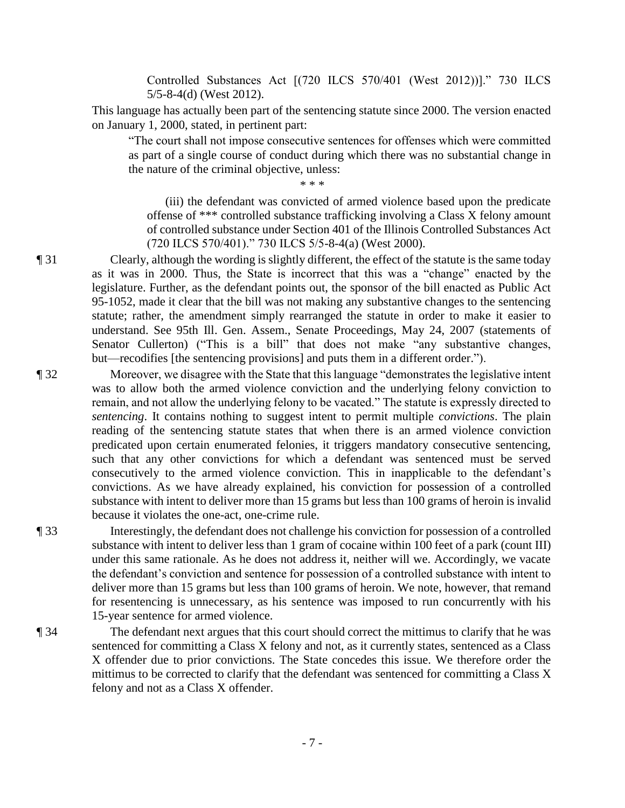Controlled Substances Act [(720 ILCS 570/401 (West 2012))]." 730 ILCS 5/5-8-4(d) (West 2012).

This language has actually been part of the sentencing statute since 2000. The version enacted on January 1, 2000, stated, in pertinent part:

"The court shall not impose consecutive sentences for offenses which were committed as part of a single course of conduct during which there was no substantial change in the nature of the criminal objective, unless:

 $* * *$ 

 (iii) the defendant was convicted of armed violence based upon the predicate offense of \*\*\* controlled substance trafficking involving a Class X felony amount of controlled substance under Section 401 of the Illinois Controlled Substances Act (720 ILCS 570/401)." 730 ILCS 5/5-8-4(a) (West 2000).

¶ 31 Clearly, although the wording is slightly different, the effect of the statute is the same today as it was in 2000. Thus, the State is incorrect that this was a "change" enacted by the legislature. Further, as the defendant points out, the sponsor of the bill enacted as Public Act 95-1052, made it clear that the bill was not making any substantive changes to the sentencing statute; rather, the amendment simply rearranged the statute in order to make it easier to understand. See 95th Ill. Gen. Assem., Senate Proceedings, May 24, 2007 (statements of Senator Cullerton) ("This is a bill" that does not make "any substantive changes, but—recodifies [the sentencing provisions] and puts them in a different order.").

¶ 32 Moreover, we disagree with the State that this language "demonstrates the legislative intent was to allow both the armed violence conviction and the underlying felony conviction to remain, and not allow the underlying felony to be vacated." The statute is expressly directed to *sentencing*. It contains nothing to suggest intent to permit multiple *convictions*. The plain reading of the sentencing statute states that when there is an armed violence conviction predicated upon certain enumerated felonies, it triggers mandatory consecutive sentencing, such that any other convictions for which a defendant was sentenced must be served consecutively to the armed violence conviction. This in inapplicable to the defendant's convictions. As we have already explained, his conviction for possession of a controlled substance with intent to deliver more than 15 grams but less than 100 grams of heroin is invalid because it violates the one-act, one-crime rule.

¶ 33 Interestingly, the defendant does not challenge his conviction for possession of a controlled substance with intent to deliver less than 1 gram of cocaine within 100 feet of a park (count III) under this same rationale. As he does not address it, neither will we. Accordingly, we vacate the defendant's conviction and sentence for possession of a controlled substance with intent to deliver more than 15 grams but less than 100 grams of heroin. We note, however, that remand for resentencing is unnecessary, as his sentence was imposed to run concurrently with his 15-year sentence for armed violence.

¶ 34 The defendant next argues that this court should correct the mittimus to clarify that he was sentenced for committing a Class X felony and not, as it currently states, sentenced as a Class X offender due to prior convictions. The State concedes this issue. We therefore order the mittimus to be corrected to clarify that the defendant was sentenced for committing a Class X felony and not as a Class X offender.